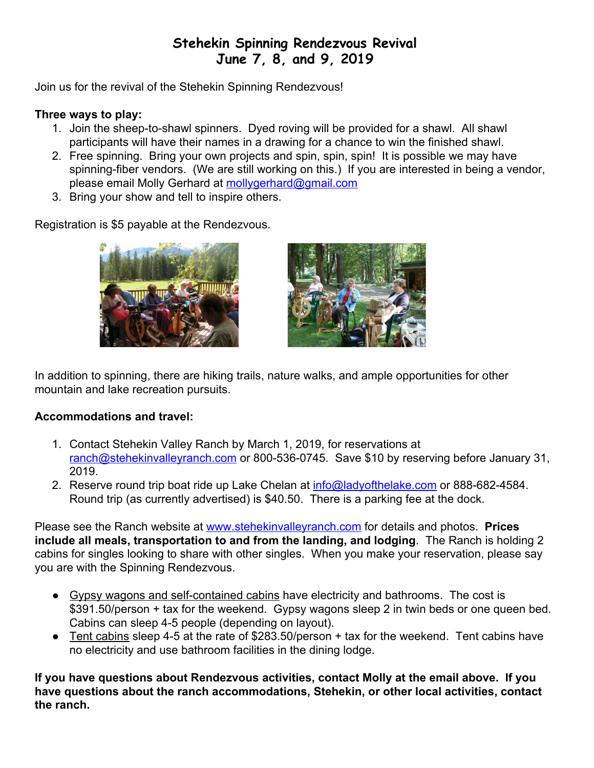## **Stehekin Spinning Rendezvous Revival June 7, 8, and 9, 2019**

Join us for the revival of the Stehekin Spinning Rendezvous!

## **Three ways to play:**

- 1. Join the sheep-to-shawl spinners. Dyed roving will be provided for a shawl. All shawl participants will have their names in a drawing for a chance to win the finished shawl.
- 2. Free spinning. Bring your own projects and spin, spin, spin! It is possible we may have spinning-fiber vendors. (We are still working on this.) If you are interested in being a vendor, please email Molly Gerhard at [mollygerhard@gmail.com](mailto:mollygerhard@gmail.com)
- 3. Bring your show and tell to inspire others.

Registration is \$5 payable at the Rendezvous.





In addition to spinning, there are hiking trails, nature walks, and ample opportunities for other mountain and lake recreation pursuits.

## **Accommodations and travel:**

- 1. Contact Stehekin Valley Ranch by March 1, 2019, for reservations at [ranch@stehekinvalleyranch.com](mailto:ranch@stehekinvalleyranch.com) or 800-536-0745. Save \$10 by reserving before January 31, 2019.
- 2. Reserve round trip boat ride up Lake Chelan at [info@ladyofthelake.com](mailto:info@ladyofthelake.com) or 888-682-4584. Round trip (as currently advertised) is \$40.50. There is a parking fee at the dock.

Please see the Ranch website at [www.stehekinvalleyranch.com](http://www.stehekinvalleyranch.com/) for details and photos. **Prices include all meals, transportation to and from the landing, and lodging**. The Ranch is holding 2 cabins for singles looking to share with other singles. When you make your reservation, please say you are with the Spinning Rendezvous.

- Gypsy wagons and self-contained cabins have electricity and bathrooms. The cost is \$391.50/person + tax for the weekend. Gypsy wagons sleep 2 in twin beds or one queen bed. Cabins can sleep 4-5 people (depending on layout).
- Tent cabins sleep 4-5 at the rate of \$283.50/person + tax for the weekend. Tent cabins have no electricity and use bathroom facilities in the dining lodge.

**If you have questions about Rendezvous activities, contact Molly at the email above. If you have questions about the ranch accommodations, Stehekin, or other local activities, contact the ranch.**